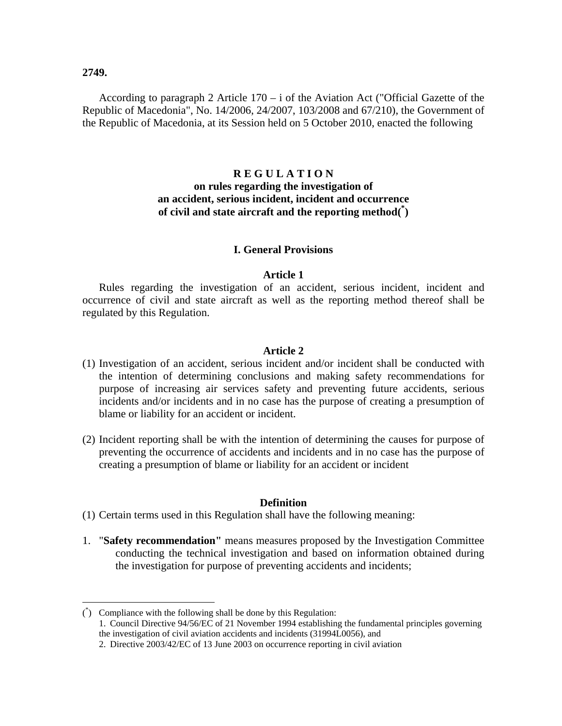**2749.**

 $\overline{a}$ 

According to paragraph 2 Article  $170 - i$  of the Aviation Act ("Official Gazette of the Republic of Macedonia", No. 14/2006, 24/2007, 103/2008 and 67/210), the Government of the Republic of Macedonia, at its Session held on 5 October 2010, enacted the following

# **R E G U L A T I O N on rules regarding the investigation of an accident, serious incident, incident and occurrence of civil and state aircraft and the reporting method(\* )**

### **I. General Provisions**

### **Article 1**

Rules regarding the investigation of an accident, serious incident, incident and occurrence of civil and state aircraft as well as the reporting method thereof shall be regulated by this Regulation.

#### **Article 2**

- (1) Investigation of an accident, serious incident and/or incident shall be conducted with the intention of determining conclusions and making safety recommendations for purpose of increasing air services safety and preventing future accidents, serious incidents and/or incidents and in no case has the purpose of creating a presumption of blame or liability for an accident or incident.
- (2) Incident reporting shall be with the intention of determining the causes for purpose of preventing the occurrence of accidents and incidents and in no case has the purpose of creating a presumption of blame or liability for an accident or incident

#### **Definition**

- (1) Certain terms used in this Regulation shall have the following meaning:
- 1. "**Safety recommendation"** means measures proposed by the Investigation Committee conducting the technical investigation and based on information obtained during the investigation for purpose of preventing accidents and incidents;

 $\phi$  Compliance with the following shall be done by this Regulation: 1. Council Directive 94/56/EC of 21 November 1994 establishing the fundamental principles governing the investigation of civil aviation accidents and incidents (31994L0056), and 2. Directive 2003/42/EC of 13 June 2003 on occurrence reporting in civil aviation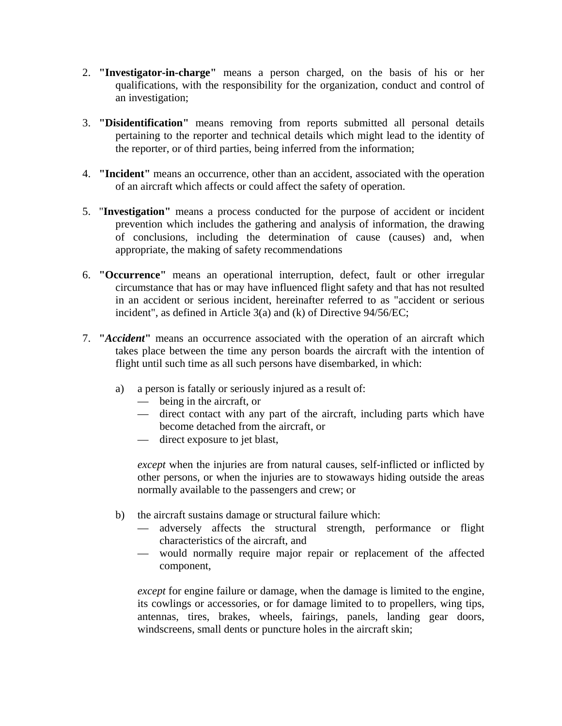- 2. **"Investigator-in-charge"** means a person charged, on the basis of his or her qualifications, with the responsibility for the organization, conduct and control of an investigation;
- 3. **"Disidentification"** means removing from reports submitted all personal details pertaining to the reporter and technical details which might lead to the identity of the reporter, or of third parties, being inferred from the information;
- 4. **"Incident"** means an occurrence, other than an accident, associated with the operation of an aircraft which affects or could affect the safety of operation.
- 5. "**Investigation"** means a process conducted for the purpose of accident or incident prevention which includes the gathering and analysis of information, the drawing of conclusions, including the determination of cause (causes) and, when appropriate, the making of safety recommendations
- 6. **"Occurrence"** means an operational interruption, defect, fault or other irregular circumstance that has or may have influenced flight safety and that has not resulted in an accident or serious incident, hereinafter referred to as "accident or serious incident", as defined in Article 3(a) and (k) of Directive 94/56/EC;
- 7. **"***Accident***"** means an occurrence associated with the operation of an aircraft which takes place between the time any person boards the aircraft with the intention of flight until such time as all such persons have disembarked, in which:
	- a) a person is fatally or seriously injured as a result of:
		- being in the aircraft, or
		- direct contact with any part of the aircraft, including parts which have become detached from the aircraft, or
		- direct exposure to jet blast,

*except* when the injuries are from natural causes, self-inflicted or inflicted by other persons, or when the injuries are to stowaways hiding outside the areas normally available to the passengers and crew; or

- b) the aircraft sustains damage or structural failure which:
	- adversely affects the structural strength, performance or flight characteristics of the aircraft, and
	- would normally require major repair or replacement of the affected component,

*except* for engine failure or damage, when the damage is limited to the engine, its cowlings or accessories, or for damage limited to to propellers, wing tips, antennas, tires, brakes, wheels, fairings, panels, landing gear doors, windscreens, small dents or puncture holes in the aircraft skin;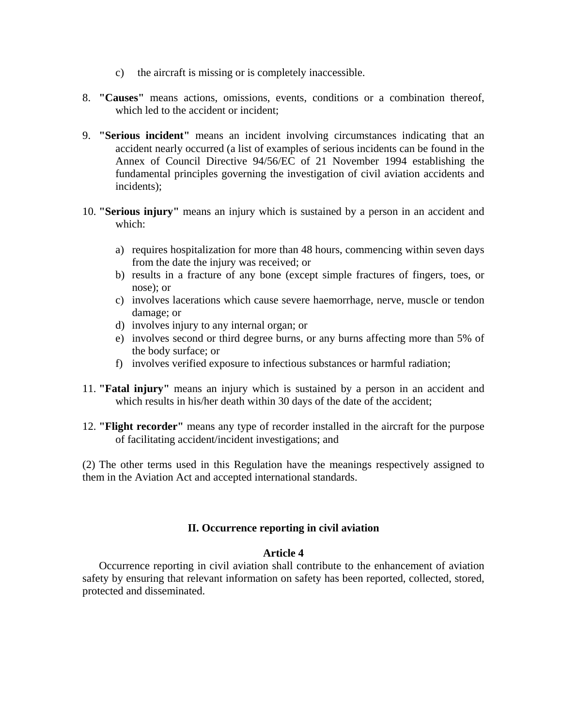- c) the aircraft is missing or is completely inaccessible.
- 8. **"Causes"** means actions, omissions, events, conditions or a combination thereof, which led to the accident or incident:
- 9. **"Serious incident"** means an incident involving circumstances indicating that an accident nearly occurred (a list of examples of serious incidents can be found in the Annex of Council Directive 94/56/EC of 21 November 1994 establishing the fundamental principles governing the investigation of civil aviation accidents and incidents);
- 10. **"Serious injury"** means an injury which is sustained by a person in an accident and which:
	- a) requires hospitalization for more than 48 hours, commencing within seven days from the date the injury was received; or
	- b) results in a fracture of any bone (except simple fractures of fingers, toes, or nose); or
	- c) involves lacerations which cause severe haemorrhage, nerve, muscle or tendon damage; or
	- d) involves injury to any internal organ; or
	- e) involves second or third degree burns, or any burns affecting more than 5% of the body surface; or
	- f) involves verified exposure to infectious substances or harmful radiation;
- 11. **"Fatal injury"** means an injury which is sustained by a person in an accident and which results in his/her death within 30 days of the date of the accident;
- 12. **"Flight recorder"** means any type of recorder installed in the aircraft for the purpose of facilitating accident/incident investigations; and

(2) The other terms used in this Regulation have the meanings respectively assigned to them in the Aviation Act and accepted international standards.

# **II. Occurrence reporting in civil aviation**

### **Article 4**

Occurrence reporting in civil aviation shall contribute to the enhancement of aviation safety by ensuring that relevant information on safety has been reported, collected, stored, protected and disseminated.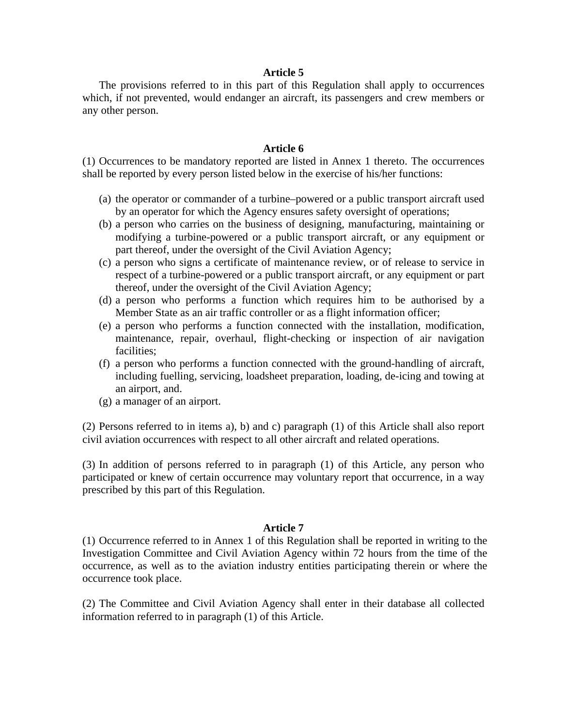The provisions referred to in this part of this Regulation shall apply to occurrences which, if not prevented, would endanger an aircraft, its passengers and crew members or any other person.

### **Article 6**

(1) Occurrences to be mandatory reported are listed in Annex 1 thereto. The occurrences shall be reported by every person listed below in the exercise of his/her functions:

- (a) the operator or commander of a turbine–powered or a public transport aircraft used by an operator for which the Agency ensures safety oversight of operations;
- (b) a person who carries on the business of designing, manufacturing, maintaining or modifying a turbine-powered or a public transport aircraft, or any equipment or part thereof, under the oversight of the Civil Aviation Agency;
- (c) a person who signs a certificate of maintenance review, or of release to service in respect of a turbine-powered or a public transport aircraft, or any equipment or part thereof, under the oversight of the Civil Aviation Agency;
- (d) a person who performs a function which requires him to be authorised by a Member State as an air traffic controller or as a flight information officer;
- (e) a person who performs a function connected with the installation, modification, maintenance, repair, overhaul, flight-checking or inspection of air navigation facilities;
- (f) a person who performs a function connected with the ground-handling of aircraft, including fuelling, servicing, loadsheet preparation, loading, de-icing and towing at an airport, and.
- (g) a manager of an airport.

(2) Persons referred to in items a), b) and c) paragraph (1) of this Article shall also report civil aviation occurrences with respect to all other aircraft and related operations.

(3) In addition of persons referred to in paragraph (1) of this Article, any person who participated or knew of certain occurrence may voluntary report that occurrence, in a way prescribed by this part of this Regulation.

#### **Article 7**

(1) Occurrence referred to in Annex 1 of this Regulation shall be reported in writing to the Investigation Committee and Civil Aviation Agency within 72 hours from the time of the occurrence, as well as to the aviation industry entities participating therein or where the occurrence took place.

(2) The Committee and Civil Aviation Agency shall enter in their database all collected information referred to in paragraph (1) of this Article.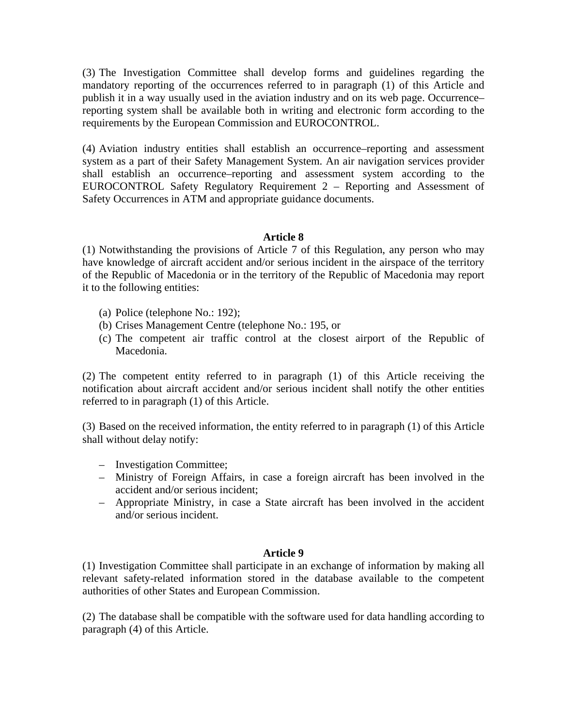(3) The Investigation Committee shall develop forms and guidelines regarding the mandatory reporting of the occurrences referred to in paragraph (1) of this Article and publish it in a way usually used in the aviation industry and on its web page. Occurrence– reporting system shall be available both in writing and electronic form according to the requirements by the European Commission and EUROCONTROL.

(4) Aviation industry entities shall establish an occurrence–reporting and assessment system as a part of their Safety Management System. An air navigation services provider shall establish an occurrence–reporting and assessment system according to the EUROCONTROL Safety Regulatory Requirement 2 – Reporting and Assessment of Safety Occurrences in ATM and appropriate guidance documents.

### **Article 8**

(1) Notwithstanding the provisions of Article 7 of this Regulation, any person who may have knowledge of aircraft accident and/or serious incident in the airspace of the territory of the Republic of Macedonia or in the territory of the Republic of Macedonia may report it to the following entities:

- (a) Police (telephone No.: 192);
- (b) Crises Management Centre (telephone No.: 195, or
- (c) The competent air traffic control at the closest airport of the Republic of Macedonia.

(2) The competent entity referred to in paragraph (1) of this Article receiving the notification about aircraft accident and/or serious incident shall notify the other entities referred to in paragraph (1) of this Article.

(3) Based on the received information, the entity referred to in paragraph (1) of this Article shall without delay notify:

- Investigation Committee;
- Ministry of Foreign Affairs, in case a foreign aircraft has been involved in the accident and/or serious incident;
- Appropriate Ministry, in case a State aircraft has been involved in the accident and/or serious incident.

### **Article 9**

(1) Investigation Committee shall participate in an exchange of information by making all relevant safety-related information stored in the database available to the competent authorities of other States and European Commission.

(2) The database shall be compatible with the software used for data handling according to paragraph (4) of this Article.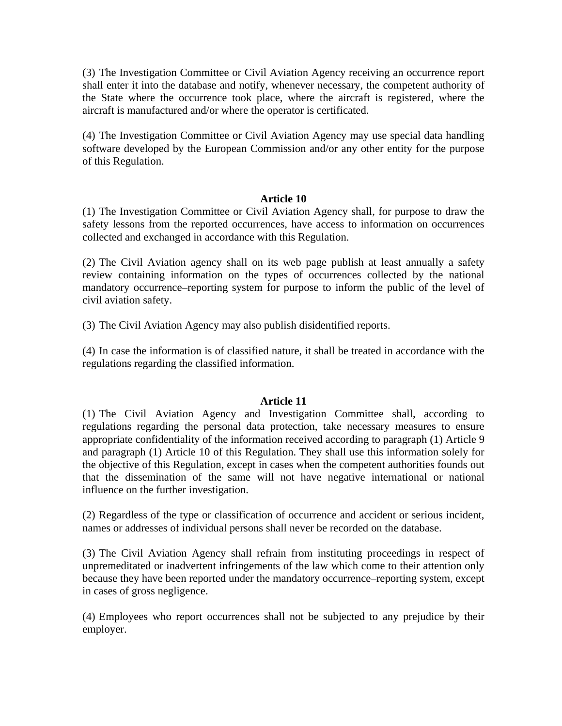(3) The Investigation Committee or Civil Aviation Agency receiving an occurrence report shall enter it into the database and notify, whenever necessary, the competent authority of the State where the occurrence took place, where the aircraft is registered, where the aircraft is manufactured and/or where the operator is certificated.

(4) The Investigation Committee or Civil Aviation Agency may use special data handling software developed by the European Commission and/or any other entity for the purpose of this Regulation.

# **Article 10**

(1) The Investigation Committee or Civil Aviation Agency shall, for purpose to draw the safety lessons from the reported occurrences, have access to information on occurrences collected and exchanged in accordance with this Regulation.

(2) The Civil Aviation agency shall on its web page publish at least annually a safety review containing information on the types of occurrences collected by the national mandatory occurrence–reporting system for purpose to inform the public of the level of civil aviation safety.

(3) The Civil Aviation Agency may also publish disidentified reports.

(4) In case the information is of classified nature, it shall be treated in accordance with the regulations regarding the classified information.

# **Article 11**

(1) The Civil Aviation Agency and Investigation Committee shall, according to regulations regarding the personal data protection, take necessary measures to ensure appropriate confidentiality of the information received according to paragraph (1) Article 9 and paragraph (1) Article 10 of this Regulation. They shall use this information solely for the objective of this Regulation, except in cases when the competent authorities founds out that the dissemination of the same will not have negative international or national influence on the further investigation.

(2) Regardless of the type or classification of occurrence and accident or serious incident, names or addresses of individual persons shall never be recorded on the database.

(3) The Civil Aviation Agency shall refrain from instituting proceedings in respect of unpremeditated or inadvertent infringements of the law which come to their attention only because they have been reported under the mandatory occurrence–reporting system, except in cases of gross negligence.

(4) Employees who report occurrences shall not be subjected to any prejudice by their employer.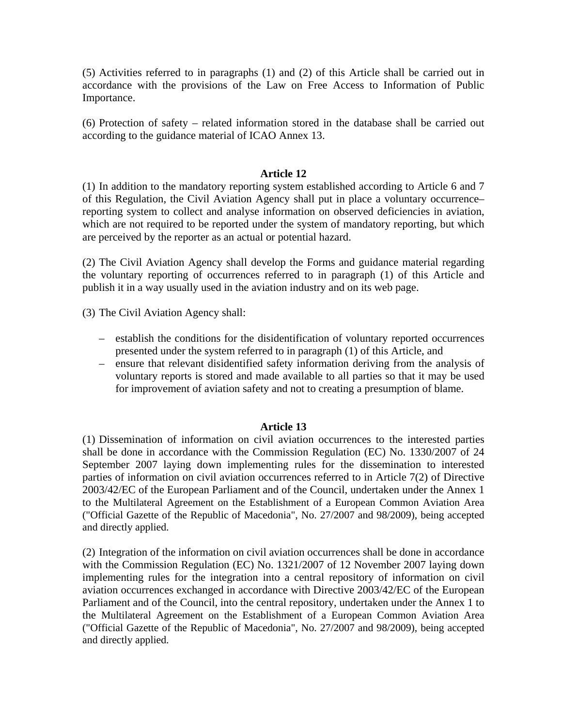(5) Activities referred to in paragraphs (1) and (2) of this Article shall be carried out in accordance with the provisions of the Law on Free Access to Information of Public Importance.

(6) Protection of safety – related information stored in the database shall be carried out according to the guidance material of ICAO Annex 13.

### **Article 12**

(1) In addition to the mandatory reporting system established according to Article 6 and 7 of this Regulation, the Civil Aviation Agency shall put in place a voluntary occurrence– reporting system to collect and analyse information on observed deficiencies in aviation, which are not required to be reported under the system of mandatory reporting, but which are perceived by the reporter as an actual or potential hazard.

(2) The Civil Aviation Agency shall develop the Forms and guidance material regarding the voluntary reporting of occurrences referred to in paragraph (1) of this Article and publish it in a way usually used in the aviation industry and on its web page.

(3) The Civil Aviation Agency shall:

- establish the conditions for the disidentification of voluntary reported occurrences presented under the system referred to in paragraph (1) of this Article, and
- ensure that relevant disidentified safety information deriving from the analysis of voluntary reports is stored and made available to all parties so that it may be used for improvement of aviation safety and not to creating a presumption of blame.

### **Article 13**

(1) Dissemination of information on civil aviation occurrences to the interested parties shall be done in accordance with the Commission Regulation (EC) No. 1330/2007 of 24 September 2007 laying down implementing rules for the dissemination to interested parties of information on civil aviation occurrences referred to in Article 7(2) of Directive 2003/42/EC of the European Parliament and of the Council, undertaken under the Annex 1 to the Multilateral Agreement on the Establishment of a European Common Aviation Area ("Official Gazette of the Republic of Macedonia", No. 27/2007 and 98/2009), being accepted and directly applied.

(2) Integration of the information on civil aviation occurrences shall be done in accordance with the Commission Regulation (EC) No. 1321/2007 of 12 November 2007 laying down implementing rules for the integration into a central repository of information on civil aviation occurrences exchanged in accordance with Directive 2003/42/EC of the European Parliament and of the Council, into the central repository, undertaken under the Annex 1 to the Multilateral Agreement on the Establishment of a European Common Aviation Area ("Official Gazette of the Republic of Macedonia", No. 27/2007 and 98/2009), being accepted and directly applied.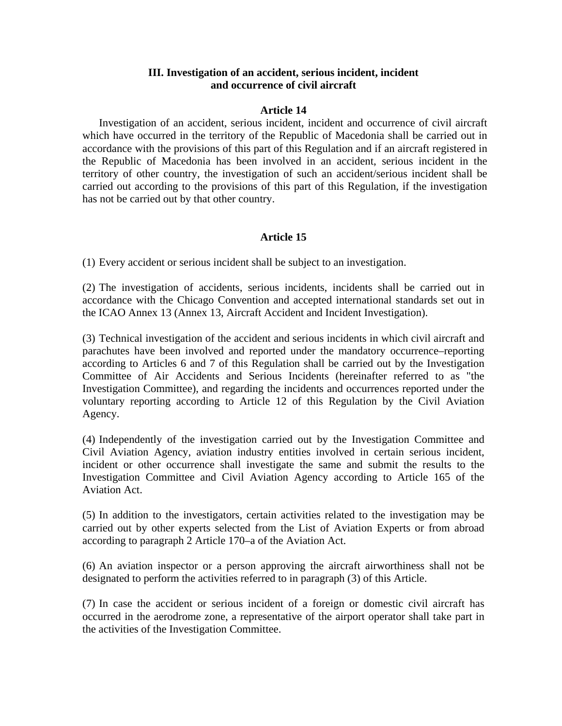# **III. Investigation of an accident, serious incident, incident and occurrence of civil aircraft**

### **Article 14**

Investigation of an accident, serious incident, incident and occurrence of civil aircraft which have occurred in the territory of the Republic of Macedonia shall be carried out in accordance with the provisions of this part of this Regulation and if an aircraft registered in the Republic of Macedonia has been involved in an accident, serious incident in the territory of other country, the investigation of such an accident/serious incident shall be carried out according to the provisions of this part of this Regulation, if the investigation has not be carried out by that other country.

# **Article 15**

(1) Every accident or serious incident shall be subject to an investigation.

(2) The investigation of accidents, serious incidents, incidents shall be carried out in accordance with the Chicago Convention and accepted international standards set out in the ICAO Annex 13 (Annex 13, Aircraft Accident and Incident Investigation).

(3) Technical investigation of the accident and serious incidents in which civil aircraft and parachutes have been involved and reported under the mandatory occurrence–reporting according to Articles 6 and 7 of this Regulation shall be carried out by the Investigation Committee of Air Accidents and Serious Incidents (hereinafter referred to as "the Investigation Committee), and regarding the incidents and occurrences reported under the voluntary reporting according to Article 12 of this Regulation by the Civil Aviation Agency.

(4) Independently of the investigation carried out by the Investigation Committee and Civil Aviation Agency, aviation industry entities involved in certain serious incident, incident or other occurrence shall investigate the same and submit the results to the Investigation Committee and Civil Aviation Agency according to Article 165 of the Aviation Act.

(5) In addition to the investigators, certain activities related to the investigation may be carried out by other experts selected from the List of Aviation Experts or from abroad according to paragraph 2 Article 170–a of the Aviation Act.

(6) An aviation inspector or a person approving the aircraft airworthiness shall not be designated to perform the activities referred to in paragraph (3) of this Article.

(7) In case the accident or serious incident of a foreign or domestic civil aircraft has occurred in the aerodrome zone, a representative of the airport operator shall take part in the activities of the Investigation Committee.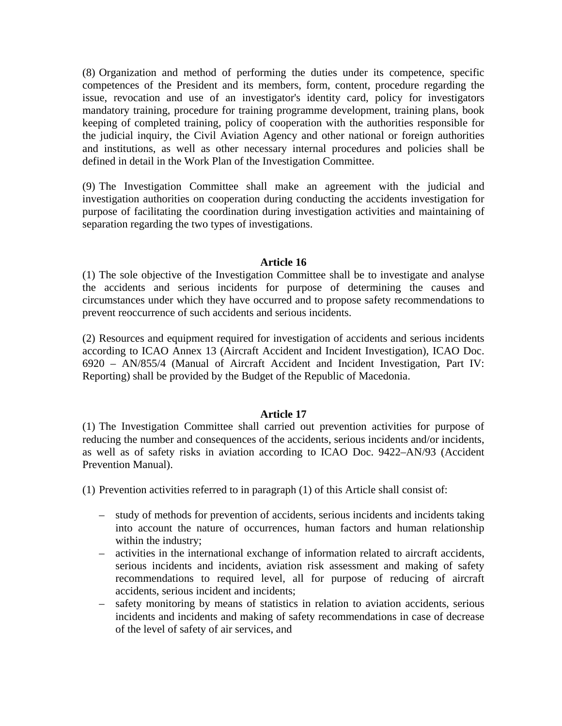(8) Organization and method of performing the duties under its competence, specific competences of the President and its members, form, content, procedure regarding the issue, revocation and use of an investigator's identity card, policy for investigators mandatory training, procedure for training programme development, training plans, book keeping of completed training, policy of cooperation with the authorities responsible for the judicial inquiry, the Civil Aviation Agency and other national or foreign authorities and institutions, as well as other necessary internal procedures and policies shall be defined in detail in the Work Plan of the Investigation Committee.

(9) The Investigation Committee shall make an agreement with the judicial and investigation authorities on cooperation during conducting the accidents investigation for purpose of facilitating the coordination during investigation activities and maintaining of separation regarding the two types of investigations.

### **Article 16**

(1) The sole objective of the Investigation Committee shall be to investigate and analyse the accidents and serious incidents for purpose of determining the causes and circumstances under which they have occurred and to propose safety recommendations to prevent reoccurrence of such accidents and serious incidents.

(2) Resources and equipment required for investigation of accidents and serious incidents according to ICAO Annex 13 (Aircraft Accident and Incident Investigation), ICAO Doc. 6920 – AN/855/4 (Manual of Aircraft Accident and Incident Investigation, Part IV: Reporting) shall be provided by the Budget of the Republic of Macedonia.

### **Article 17**

(1) The Investigation Committee shall carried out prevention activities for purpose of reducing the number and consequences of the accidents, serious incidents and/or incidents, as well as of safety risks in aviation according to ICAO Doc. 9422–AN/93 (Accident Prevention Manual).

(1) Prevention activities referred to in paragraph (1) of this Article shall consist of:

- study of methods for prevention of accidents, serious incidents and incidents taking into account the nature of occurrences, human factors and human relationship within the industry;
- activities in the international exchange of information related to aircraft accidents, serious incidents and incidents, aviation risk assessment and making of safety recommendations to required level, all for purpose of reducing of aircraft accidents, serious incident and incidents;
- safety monitoring by means of statistics in relation to aviation accidents, serious incidents and incidents and making of safety recommendations in case of decrease of the level of safety of air services, and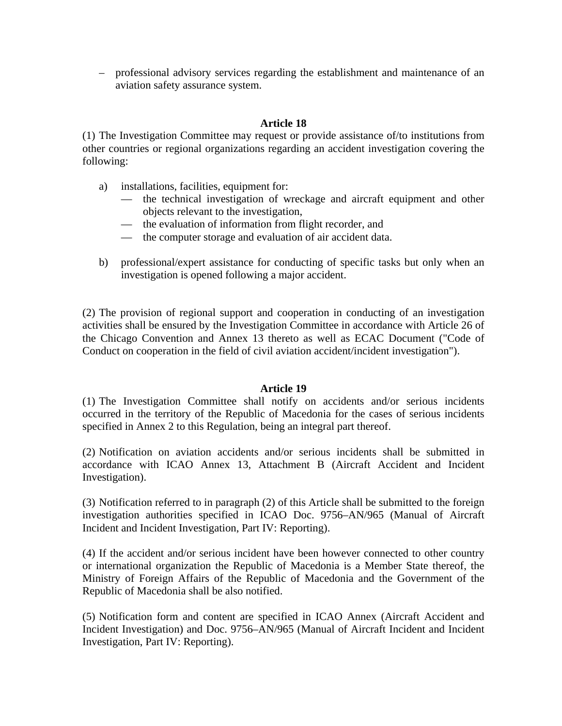– professional advisory services regarding the establishment and maintenance of an aviation safety assurance system.

# **Article 18**

(1) The Investigation Committee may request or provide assistance of/to institutions from other countries or regional organizations regarding an accident investigation covering the following:

- a) installations, facilities, equipment for:
	- the technical investigation of wreckage and aircraft equipment and other objects relevant to the investigation,
	- the evaluation of information from flight recorder, and
	- the computer storage and evaluation of air accident data.
- b) professional/expert assistance for conducting of specific tasks but only when an investigation is opened following a major accident.

(2) The provision of regional support and cooperation in conducting of an investigation activities shall be ensured by the Investigation Committee in accordance with Article 26 of the Chicago Convention and Annex 13 thereto as well as ECAC Document ("Code of Conduct on cooperation in the field of civil aviation accident/incident investigation").

# **Article 19**

(1) The Investigation Committee shall notify on accidents and/or serious incidents occurred in the territory of the Republic of Macedonia for the cases of serious incidents specified in Annex 2 to this Regulation, being an integral part thereof.

(2) Notification on aviation accidents and/or serious incidents shall be submitted in accordance with ICAO Annex 13, Attachment B (Aircraft Accident and Incident Investigation).

(3) Notification referred to in paragraph (2) of this Article shall be submitted to the foreign investigation authorities specified in ICAO Doc. 9756–AN/965 (Manual of Aircraft Incident and Incident Investigation, Part IV: Reporting).

(4) If the accident and/or serious incident have been however connected to other country or international organization the Republic of Macedonia is a Member State thereof, the Ministry of Foreign Affairs of the Republic of Macedonia and the Government of the Republic of Macedonia shall be also notified.

(5) Notification form and content are specified in ICAO Annex (Aircraft Accident and Incident Investigation) and Doc. 9756–AN/965 (Manual of Aircraft Incident and Incident Investigation, Part IV: Reporting).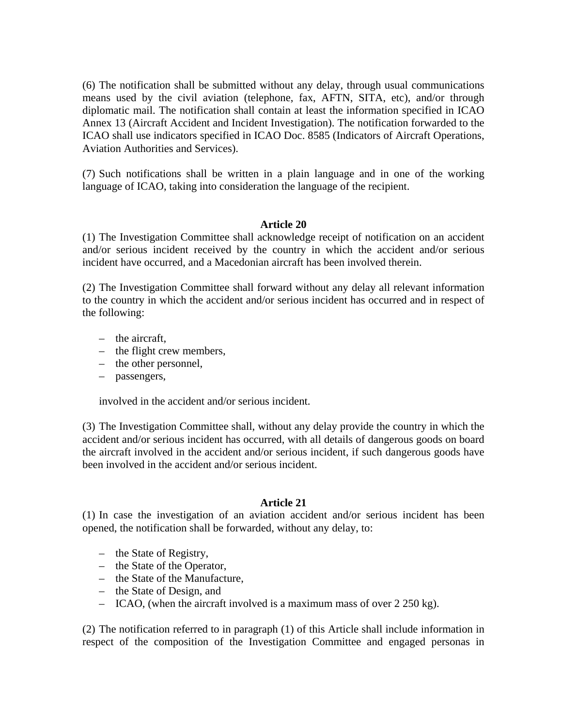(6) The notification shall be submitted without any delay, through usual communications means used by the civil aviation (telephone, fax, AFTN, SITA, etc), and/or through diplomatic mail. The notification shall contain at least the information specified in ICAO Annex 13 (Aircraft Accident and Incident Investigation). The notification forwarded to the ICAO shall use indicators specified in ICAO Doc. 8585 (Indicators of Aircraft Operations, Aviation Authorities and Services).

(7) Such notifications shall be written in a plain language and in one of the working language of ICAO, taking into consideration the language of the recipient.

# **Article 20**

(1) The Investigation Committee shall acknowledge receipt of notification on an accident and/or serious incident received by the country in which the accident and/or serious incident have occurred, and a Macedonian aircraft has been involved therein.

(2) The Investigation Committee shall forward without any delay all relevant information to the country in which the accident and/or serious incident has occurred and in respect of the following:

- the aircraft,
- the flight crew members,
- the other personnel,
- passengers,

involved in the accident and/or serious incident.

(3) The Investigation Committee shall, without any delay provide the country in which the accident and/or serious incident has occurred, with all details of dangerous goods on board the aircraft involved in the accident and/or serious incident, if such dangerous goods have been involved in the accident and/or serious incident.

### **Article 21**

(1) In case the investigation of an aviation accident and/or serious incident has been opened, the notification shall be forwarded, without any delay, to:

- the State of Registry,
- the State of the Operator,
- the State of the Manufacture,
- the State of Design, and
- ICAO, (when the aircraft involved is a maximum mass of over 2 250 kg).

(2) The notification referred to in paragraph (1) of this Article shall include information in respect of the composition of the Investigation Committee and engaged personas in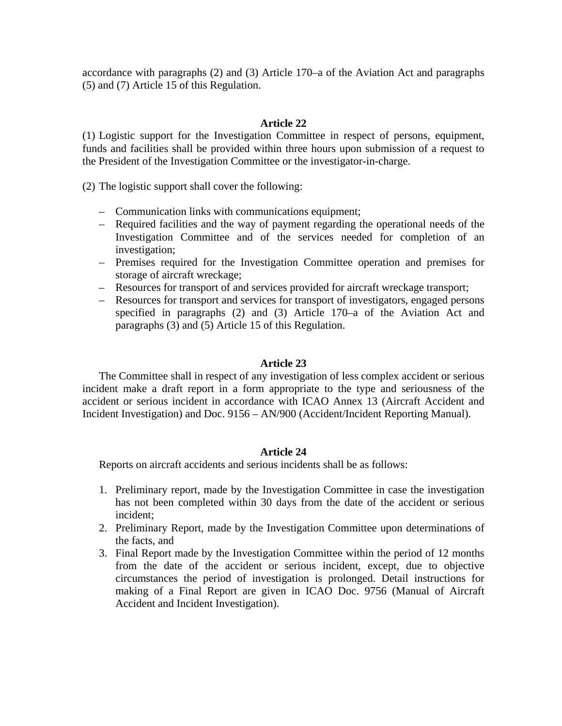accordance with paragraphs (2) and (3) Article 170–a of the Aviation Act and paragraphs (5) and (7) Article 15 of this Regulation.

# **Article 22**

(1) Logistic support for the Investigation Committee in respect of persons, equipment, funds and facilities shall be provided within three hours upon submission of a request to the President of the Investigation Committee or the investigator-in-charge.

(2) The logistic support shall cover the following:

- Communication links with communications equipment;
- Required facilities and the way of payment regarding the operational needs of the Investigation Committee and of the services needed for completion of an investigation;
- Premises required for the Investigation Committee operation and premises for storage of aircraft wreckage;
- Resources for transport of and services provided for aircraft wreckage transport;
- Resources for transport and services for transport of investigators, engaged persons specified in paragraphs (2) and (3) Article 170–a of the Aviation Act and paragraphs (3) and (5) Article 15 of this Regulation.

### **Article 23**

The Committee shall in respect of any investigation of less complex accident or serious incident make a draft report in a form appropriate to the type and seriousness of the accident or serious incident in accordance with ICAO Annex 13 (Aircraft Accident and Incident Investigation) and Doc. 9156 – AN/900 (Accident/Incident Reporting Manual).

# **Article 24**

Reports on aircraft accidents and serious incidents shall be as follows:

- 1. Preliminary report, made by the Investigation Committee in case the investigation has not been completed within 30 days from the date of the accident or serious incident;
- 2. Preliminary Report, made by the Investigation Committee upon determinations of the facts, and
- 3. Final Report made by the Investigation Committee within the period of 12 months from the date of the accident or serious incident, except, due to objective circumstances the period of investigation is prolonged. Detail instructions for making of a Final Report are given in ICAO Doc. 9756 (Manual of Aircraft Accident and Incident Investigation).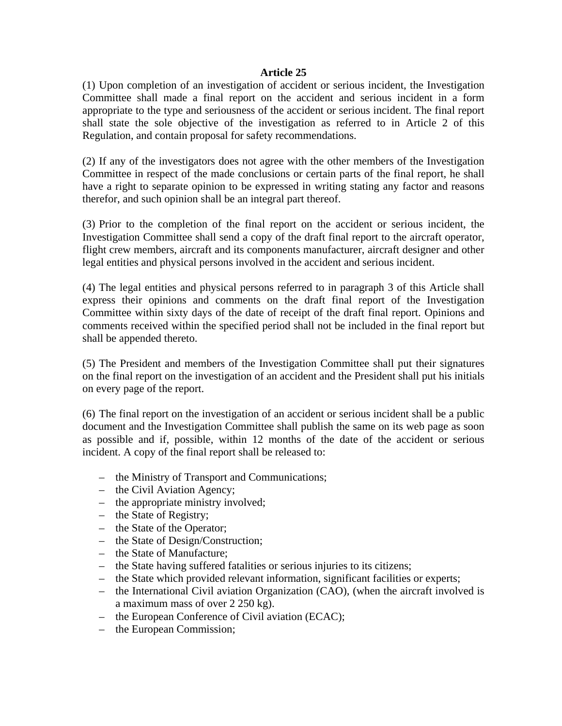(1) Upon completion of an investigation of accident or serious incident, the Investigation Committee shall made a final report on the accident and serious incident in a form appropriate to the type and seriousness of the accident or serious incident. The final report shall state the sole objective of the investigation as referred to in Article 2 of this Regulation, and contain proposal for safety recommendations.

(2) If any of the investigators does not agree with the other members of the Investigation Committee in respect of the made conclusions or certain parts of the final report, he shall have a right to separate opinion to be expressed in writing stating any factor and reasons therefor, and such opinion shall be an integral part thereof.

(3) Prior to the completion of the final report on the accident or serious incident, the Investigation Committee shall send a copy of the draft final report to the aircraft operator, flight crew members, aircraft and its components manufacturer, aircraft designer and other legal entities and physical persons involved in the accident and serious incident.

(4) The legal entities and physical persons referred to in paragraph 3 of this Article shall express their opinions and comments on the draft final report of the Investigation Committee within sixty days of the date of receipt of the draft final report. Opinions and comments received within the specified period shall not be included in the final report but shall be appended thereto.

(5) The President and members of the Investigation Committee shall put their signatures on the final report on the investigation of an accident and the President shall put his initials on every page of the report.

(6) The final report on the investigation of an accident or serious incident shall be a public document and the Investigation Committee shall publish the same on its web page as soon as possible and if, possible, within 12 months of the date of the accident or serious incident. A copy of the final report shall be released to:

- the Ministry of Transport and Communications;
- the Civil Aviation Agency;
- the appropriate ministry involved;
- the State of Registry;
- the State of the Operator;
- the State of Design/Construction;
- the State of Manufacture;
- the State having suffered fatalities or serious injuries to its citizens;
- the State which provided relevant information, significant facilities or experts;
- the International Civil aviation Organization (CAO), (when the aircraft involved is a maximum mass of over 2 250 kg).
- the European Conference of Civil aviation (ECAC);
- the European Commission;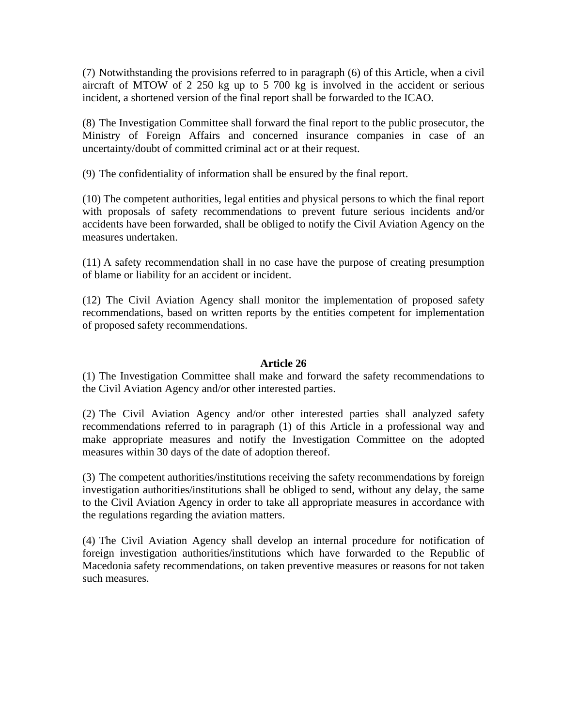(7) Notwithstanding the provisions referred to in paragraph (6) of this Article, when a civil aircraft of MTOW of 2 250 kg up to 5 700 kg is involved in the accident or serious incident, a shortened version of the final report shall be forwarded to the ICAO.

(8) The Investigation Committee shall forward the final report to the public prosecutor, the Ministry of Foreign Affairs and concerned insurance companies in case of an uncertainty/doubt of committed criminal act or at their request.

(9) The confidentiality of information shall be ensured by the final report.

(10) The competent authorities, legal entities and physical persons to which the final report with proposals of safety recommendations to prevent future serious incidents and/or accidents have been forwarded, shall be obliged to notify the Civil Aviation Agency on the measures undertaken.

(11) A safety recommendation shall in no case have the purpose of creating presumption of blame or liability for an accident or incident.

(12) The Civil Aviation Agency shall monitor the implementation of proposed safety recommendations, based on written reports by the entities competent for implementation of proposed safety recommendations.

# **Article 26**

(1) The Investigation Committee shall make and forward the safety recommendations to the Civil Aviation Agency and/or other interested parties.

(2) The Civil Aviation Agency and/or other interested parties shall analyzed safety recommendations referred to in paragraph (1) of this Article in a professional way and make appropriate measures and notify the Investigation Committee on the adopted measures within 30 days of the date of adoption thereof.

(3) The competent authorities/institutions receiving the safety recommendations by foreign investigation authorities/institutions shall be obliged to send, without any delay, the same to the Civil Aviation Agency in order to take all appropriate measures in accordance with the regulations regarding the aviation matters.

(4) The Civil Aviation Agency shall develop an internal procedure for notification of foreign investigation authorities/institutions which have forwarded to the Republic of Macedonia safety recommendations, on taken preventive measures or reasons for not taken such measures.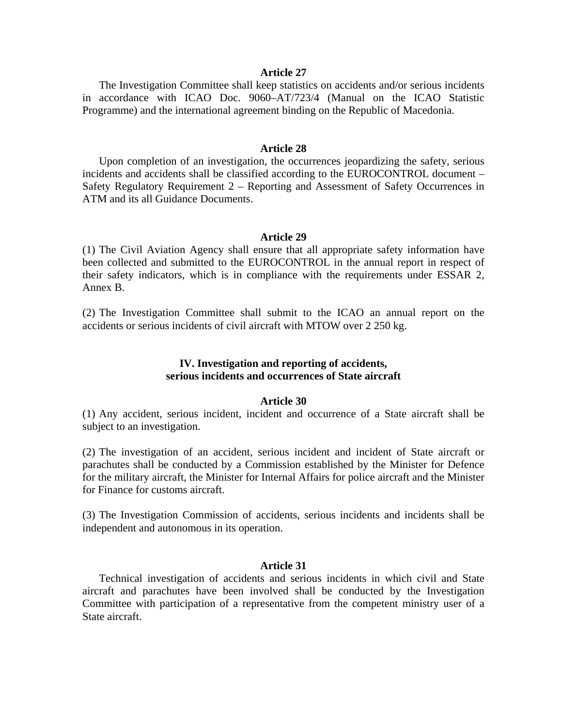The Investigation Committee shall keep statistics on accidents and/or serious incidents in accordance with ICAO Doc. 9060–AT/723/4 (Manual on the ICAO Statistic Programme) and the international agreement binding on the Republic of Macedonia.

#### **Article 28**

Upon completion of an investigation, the occurrences jeopardizing the safety, serious incidents and accidents shall be classified according to the EUROCONTROL document – Safety Regulatory Requirement 2 – Reporting and Assessment of Safety Occurrences in ATM and its all Guidance Documents.

#### **Article 29**

(1) The Civil Aviation Agency shall ensure that all appropriate safety information have been collected and submitted to the EUROCONTROL in the annual report in respect of their safety indicators, which is in compliance with the requirements under ESSAR 2, Annex B.

(2) The Investigation Committee shall submit to the ICAO an annual report on the accidents or serious incidents of civil aircraft with MTOW over 2 250 kg.

### **IV. Investigation and reporting of accidents, serious incidents and occurrences of State aircraft**

#### **Article 30**

(1) Any accident, serious incident, incident and occurrence of a State aircraft shall be subject to an investigation.

(2) The investigation of an accident, serious incident and incident of State aircraft or parachutes shall be conducted by a Commission established by the Minister for Defence for the military aircraft, the Minister for Internal Affairs for police aircraft and the Minister for Finance for customs aircraft.

(3) The Investigation Commission of accidents, serious incidents and incidents shall be independent and autonomous in its operation.

#### **Article 31**

Technical investigation of accidents and serious incidents in which civil and State aircraft and parachutes have been involved shall be conducted by the Investigation Committee with participation of a representative from the competent ministry user of a State aircraft.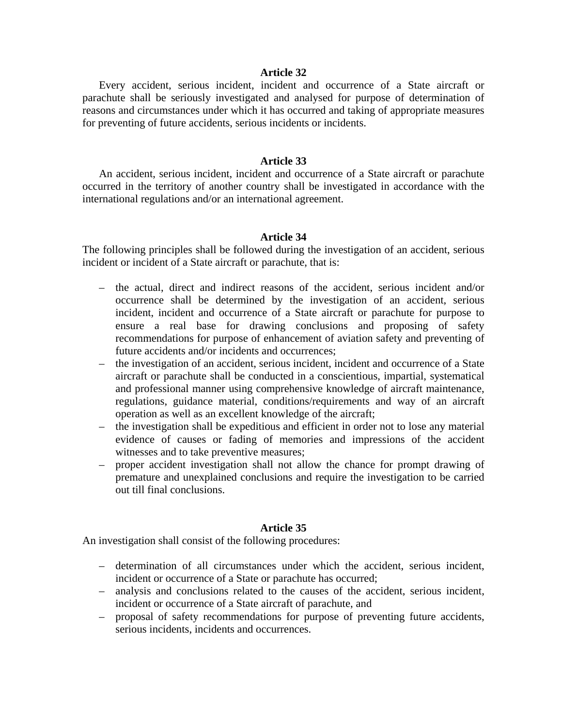Every accident, serious incident, incident and occurrence of a State aircraft or parachute shall be seriously investigated and analysed for purpose of determination of reasons and circumstances under which it has occurred and taking of appropriate measures for preventing of future accidents, serious incidents or incidents.

### **Article 33**

An accident, serious incident, incident and occurrence of a State aircraft or parachute occurred in the territory of another country shall be investigated in accordance with the international regulations and/or an international agreement.

#### **Article 34**

The following principles shall be followed during the investigation of an accident, serious incident or incident of a State aircraft or parachute, that is:

- the actual, direct and indirect reasons of the accident, serious incident and/or occurrence shall be determined by the investigation of an accident, serious incident, incident and occurrence of a State aircraft or parachute for purpose to ensure a real base for drawing conclusions and proposing of safety recommendations for purpose of enhancement of aviation safety and preventing of future accidents and/or incidents and occurrences;
- the investigation of an accident, serious incident, incident and occurrence of a State aircraft or parachute shall be conducted in a conscientious, impartial, systematical and professional manner using comprehensive knowledge of aircraft maintenance, regulations, guidance material, conditions/requirements and way of an aircraft operation as well as an excellent knowledge of the aircraft;
- the investigation shall be expeditious and efficient in order not to lose any material evidence of causes or fading of memories and impressions of the accident witnesses and to take preventive measures;
- proper accident investigation shall not allow the chance for prompt drawing of premature and unexplained conclusions and require the investigation to be carried out till final conclusions.

#### **Article 35**

An investigation shall consist of the following procedures:

- determination of all circumstances under which the accident, serious incident, incident or occurrence of a State or parachute has occurred;
- analysis and conclusions related to the causes of the accident, serious incident, incident or occurrence of a State aircraft of parachute, and
- proposal of safety recommendations for purpose of preventing future accidents, serious incidents, incidents and occurrences.